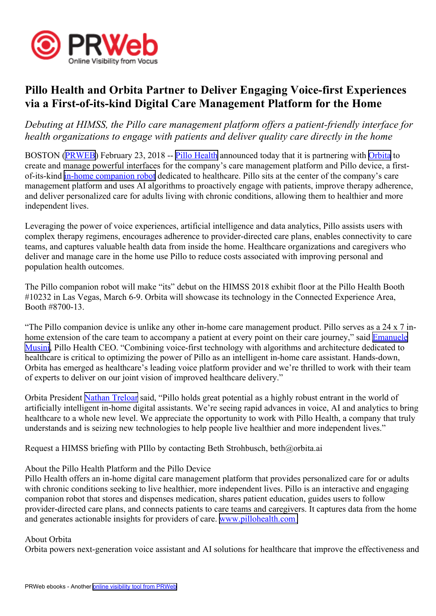

## **Pillo Health and Orbita Partner to Deliver Engaging Voice-first Experiences via <sup>a</sup> First-of-its-kind Digital Care Management Platform for the Home**

*Debuting at HIMSS, the Pillo care managemen<sup>t</sup> platform offers <sup>a</sup> patient-friendly interface for health organizations to engage with patients and deliver quality care directly in the home*

BOSTON ([PRWEB](http://www.prweb.com)) February 23, 2018 -- Pillo [Health](http://www.pillohealth.com) announced today that it is partnering with [Orbita](http://www.orbita.ai) to create and manage powerful interfaces for the company's care managemen<sup>t</sup> platform and Pillo device, <sup>a</sup> firstof-its-kind [in-home](http://www.pillohealth.com/) companion robot dedicated to healthcare. Pillo sits at the center of the company's care managemen<sup>t</sup> platform and uses AI algorithms to proactively engage with patients, improve therapy adherence, and deliver personalized care for adults living with chronic conditions, allowing them to healthier and more independent lives.

Leveraging the power of voice experiences, artificial intelligence and data analytics, Pillo assists users with complex therapy regimens, encourages adherence to provider-directed care plans, enables connectivity to care teams, and captures valuable health data from inside the home. Healthcare organizations and caregivers who deliver and manage care in the home use Pillo to reduce costs associated with improving personal and population health outcomes.

The Pillo companion robot will make "its" debut on the HIMSS 2018 exhibit floor at the Pillo Health Booth #10232 in Las Vegas, March 6-9. Orbita will showcase its technology in the Connected Experience Area, Booth #8700-13.

"The Pillo companion device is unlike any other in-home care managemen<sup>t</sup> product. Pillo serves as <sup>a</sup> 24 <sup>x</sup> 7 inhome extension of the care team to accompany a patient at every point on their care journey," said **[Emanuele](https://www.linkedin.com/in/emusini)** [Musini](https://www.linkedin.com/in/emusini), Pillo Health CEO. "Combining voice-first technology with algorithms and architecture dedicated to healthcare is critical to optimizing the power of Pillo as an intelligent in-home care assistant. Hands-down, Orbita has emerged as healthcare's leading voice platform provider and we're thrilled to work with their team of experts to deliver on our joint vision of improved healthcare delivery."

Orbita President Nathan [Treloar](http://www.linkedin.com/in/ntreloar/) said, "Pillo holds grea<sup>t</sup> potential as <sup>a</sup> highly robust entrant in the world of artificially intelligent in-home digital assistants. We're seeing rapid advances in voice, AI and analytics to bring healthcare to <sup>a</sup> whole new level. We appreciate the opportunity to work with Pillo Health, <sup>a</sup> company that truly understands and is seizing new technologies to help people live healthier and more independent lives."

Request <sup>a</sup> HIMSS briefing with PIllo by contacting Beth Strohbusch, beth@orbita.ai

## About the Pillo Health Platform and the Pillo Device

Pillo Health offers an in-home digital care managemen<sup>t</sup> platform that provides personalized care for or adults with chronic conditions seeking to live healthier, more independent lives. Pillo is an interactive and engaging companion robot that stores and dispenses medication, shares patient education, guides users to follow provider-directed care plans, and connects patients to care teams and caregivers. It captures data from the home and generates actionable insights for providers of care. www.p[illohealth.com](http://www.pillohealth.com
)

## About Orbita

Orbita powers next-generation voice assistant and AI solutions for healthcare that improve the effectiveness and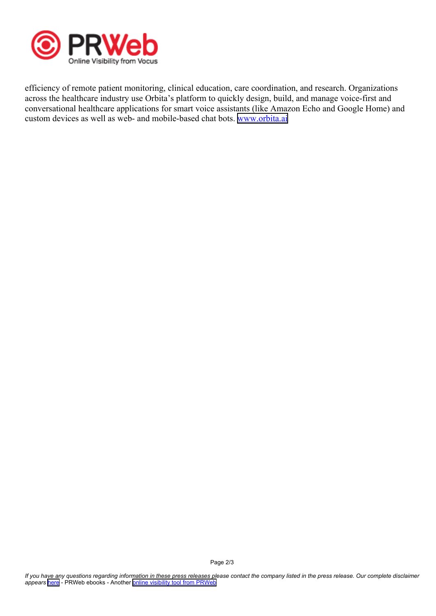

efficiency of remote patient monitoring, clinical education, care coordination, and research. Organizations across the healthcare industry use Orbita's platform to quickly design, build, and manage voice-first and conversational healthcare applications for smart voice assistants (like Amazon Echo and Google Home) and custom devices as well as web- and mobile-based chat bots. [www.orbita.ai](http://www.orbita.ai)